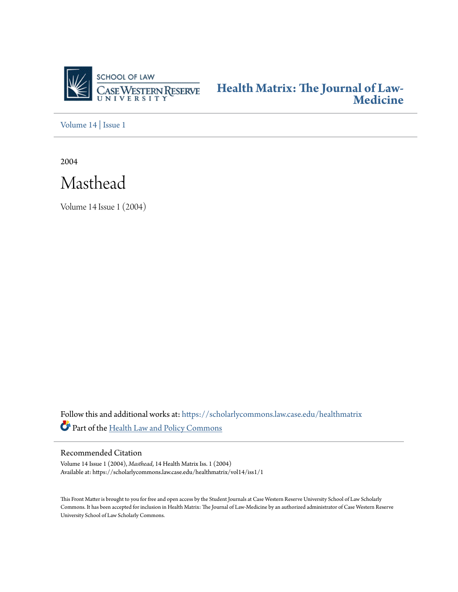

**[Health Matrix: The Journal of Law-](https://scholarlycommons.law.case.edu/healthmatrix?utm_source=scholarlycommons.law.case.edu%2Fhealthmatrix%2Fvol14%2Fiss1%2F1&utm_medium=PDF&utm_campaign=PDFCoverPages)[Medicine](https://scholarlycommons.law.case.edu/healthmatrix?utm_source=scholarlycommons.law.case.edu%2Fhealthmatrix%2Fvol14%2Fiss1%2F1&utm_medium=PDF&utm_campaign=PDFCoverPages)**

[Volume 14](https://scholarlycommons.law.case.edu/healthmatrix/vol14?utm_source=scholarlycommons.law.case.edu%2Fhealthmatrix%2Fvol14%2Fiss1%2F1&utm_medium=PDF&utm_campaign=PDFCoverPages) | [Issue 1](https://scholarlycommons.law.case.edu/healthmatrix/vol14/iss1?utm_source=scholarlycommons.law.case.edu%2Fhealthmatrix%2Fvol14%2Fiss1%2F1&utm_medium=PDF&utm_campaign=PDFCoverPages)

2004



Volume 14 Issue 1 (2004)

Follow this and additional works at: [https://scholarlycommons.law.case.edu/healthmatrix](https://scholarlycommons.law.case.edu/healthmatrix?utm_source=scholarlycommons.law.case.edu%2Fhealthmatrix%2Fvol14%2Fiss1%2F1&utm_medium=PDF&utm_campaign=PDFCoverPages) Part of the [Health Law and Policy Commons](http://network.bepress.com/hgg/discipline/901?utm_source=scholarlycommons.law.case.edu%2Fhealthmatrix%2Fvol14%2Fiss1%2F1&utm_medium=PDF&utm_campaign=PDFCoverPages)

## Recommended Citation

Volume 14 Issue 1 (2004), *Masthead*, 14 Health MatrixIss. 1 (2004) Available at: https://scholarlycommons.law.case.edu/healthmatrix/vol14/iss1/1

This Front Matter is brought to you for free and open access by the Student Journals at Case Western Reserve University School of Law Scholarly Commons. It has been accepted for inclusion in Health Matrix: The Journal of Law-Medicine by an authorized administrator of Case Western Reserve University School of Law Scholarly Commons.